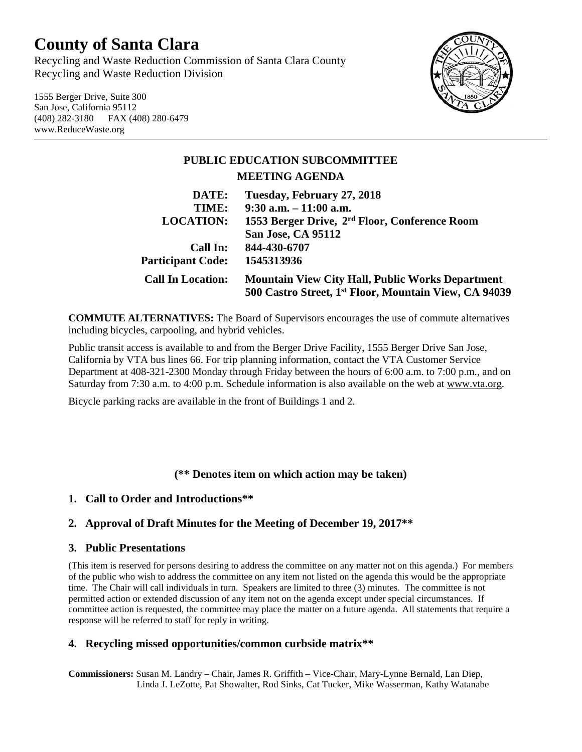# **County of Santa Clara**

Recycling and Waste Reduction Commission of Santa Clara County Recycling and Waste Reduction Division

1555 Berger Drive, Suite 300 San Jose, California 95112 (408) 282-3180 FAX (408) 280-6479 www.ReduceWaste.org



## **PUBLIC EDUCATION SUBCOMMITTEE MEETING AGENDA**

| Tuesday, February 27, 2018                                                                                                   |
|------------------------------------------------------------------------------------------------------------------------------|
| $9:30$ a.m. $-11:00$ a.m.                                                                                                    |
| 1553 Berger Drive, 2 <sup>rd</sup> Floor, Conference Room                                                                    |
| San Jose, CA 95112                                                                                                           |
| 844-430-6707                                                                                                                 |
| 1545313936                                                                                                                   |
| <b>Mountain View City Hall, Public Works Department</b><br>500 Castro Street, 1 <sup>st</sup> Floor, Mountain View, CA 94039 |
|                                                                                                                              |

**COMMUTE ALTERNATIVES:** The Board of Supervisors encourages the use of commute alternatives including bicycles, carpooling, and hybrid vehicles.

Public transit access is available to and from the Berger Drive Facility, 1555 Berger Drive San Jose, California by VTA bus lines 66. For trip planning information, contact the VTA Customer Service Department at 408-321-2300 Monday through Friday between the hours of 6:00 a.m. to 7:00 p.m., and on Saturday from 7:30 a.m. to 4:00 p.m. Schedule information is also available on the web at [www.vta.org.](http://www.vta.org/)

Bicycle parking racks are available in the front of Buildings 1 and 2.

### **(\*\* Denotes item on which action may be taken)**

### **1. Call to Order and Introductions\*\***

### **2. Approval of Draft Minutes for the Meeting of December 19, 2017\*\***

#### **3. Public Presentations**

(This item is reserved for persons desiring to address the committee on any matter not on this agenda.) For members of the public who wish to address the committee on any item not listed on the agenda this would be the appropriate time. The Chair will call individuals in turn. Speakers are limited to three (3) minutes. The committee is not permitted action or extended discussion of any item not on the agenda except under special circumstances. If committee action is requested, the committee may place the matter on a future agenda. All statements that require a response will be referred to staff for reply in writing.

### **4. Recycling missed opportunities/common curbside matrix\*\***

**Commissioners:** Susan M. Landry – Chair, James R. Griffith – Vice-Chair, Mary-Lynne Bernald, Lan Diep, Linda J. LeZotte, Pat Showalter, Rod Sinks, Cat Tucker, Mike Wasserman, Kathy Watanabe